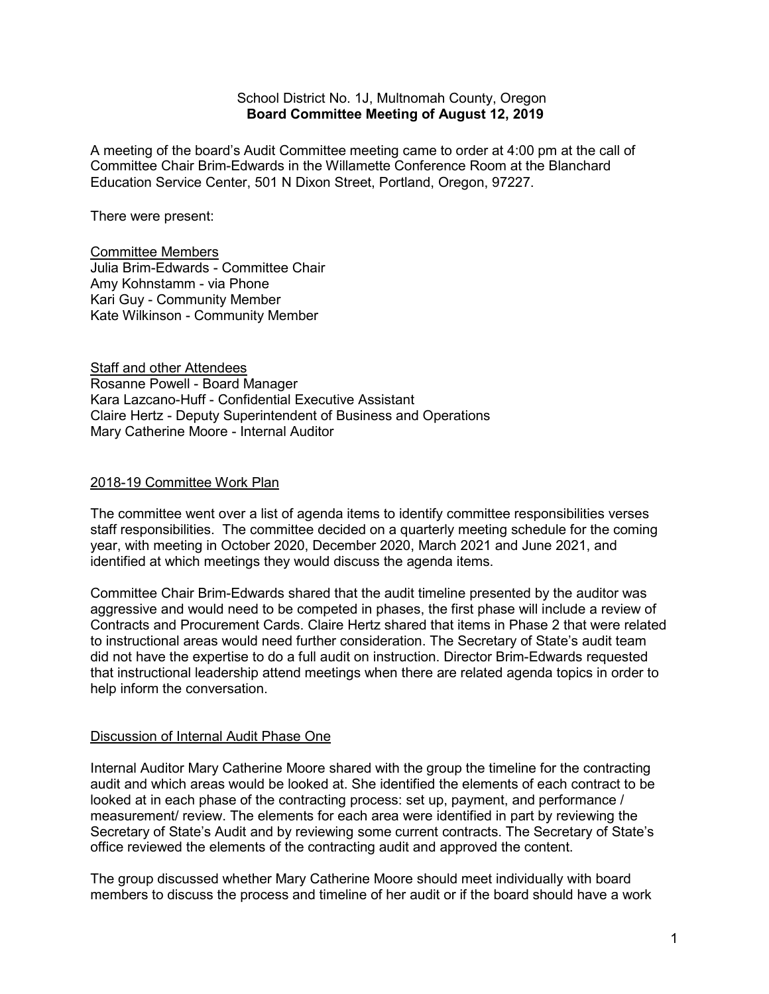#### School District No. 1J, Multnomah County, Oregon **Board Committee Meeting of August 12, 2019**

A meeting of the board's Audit Committee meeting came to order at 4:00 pm at the call of Committee Chair Brim-Edwards in the Willamette Conference Room at the Blanchard Education Service Center, 501 N Dixon Street, Portland, Oregon, 97227.

There were present:

Committee Members Julia Brim-Edwards - Committee Chair Amy Kohnstamm - via Phone Kari Guy - Community Member Kate Wilkinson - Community Member

**Staff and other Attendees** Rosanne Powell - Board Manager Kara Lazcano-Huff - Confidential Executive Assistant Claire Hertz - Deputy Superintendent of Business and Operations Mary Catherine Moore - Internal Auditor

### 2018-19 Committee Work Plan

The committee went over a list of agenda items to identify committee responsibilities verses staff responsibilities. The committee decided on a quarterly meeting schedule for the coming year, with meeting in October 2020, December 2020, March 2021 and June 2021, and identified at which meetings they would discuss the agenda items.

Committee Chair Brim-Edwards shared that the audit timeline presented by the auditor was aggressive and would need to be competed in phases, the first phase will include a review of Contracts and Procurement Cards. Claire Hertz shared that items in Phase 2 that were related to instructional areas would need further consideration. The Secretary of State's audit team did not have the expertise to do a full audit on instruction. Director Brim-Edwards requested that instructional leadership attend meetings when there are related agenda topics in order to help inform the conversation.

### Discussion of Internal Audit Phase One

Internal Auditor Mary Catherine Moore shared with the group the timeline for the contracting audit and which areas would be looked at. She identified the elements of each contract to be looked at in each phase of the contracting process: set up, payment, and performance / measurement/ review. The elements for each area were identified in part by reviewing the Secretary of State's Audit and by reviewing some current contracts. The Secretary of State's office reviewed the elements of the contracting audit and approved the content.

The group discussed whether Mary Catherine Moore should meet individually with board members to discuss the process and timeline of her audit or if the board should have a work